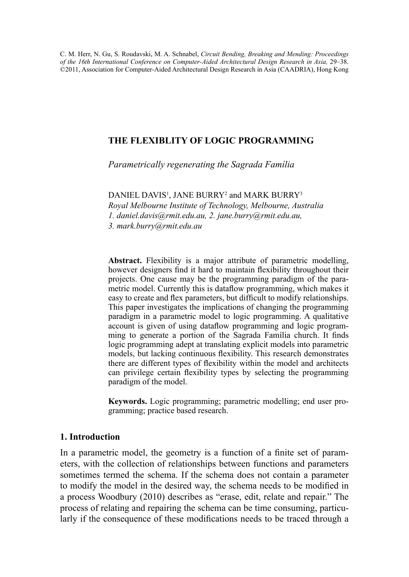C. M. Herr, N. Gu, S. Roudavski, M. A. Schnabel, *Circuit Bending, Breaking and Mending: Proceedings of the 16th International Conference on Computer-Aided Architectural Design Research in Asia,* 29–38. ©2011, Association for Computer-Aided Architectural Design Research in Asia (CAADRIA), Hong Kong

# **The flexiblity of logic programming**

*Parametrically regenerating the Sagrada Família*

 $\mathop{\rm DANIEL}\nolimits$  DAVIS<sup>1</sup>, JANE BURRY<sup>2</sup> and MARK BURRY<sup>3</sup> *Royal Melbourne Institute of Technology, Melbourne, Australia 1. daniel.davis@rmit.edu.au, 2. jane.burry@rmit.edu.au, 3. mark.burry@rmit.edu.au*

**Abstract.** Flexibility is a major attribute of parametric modelling, however designers find it hard to maintain flexibility throughout their projects. One cause may be the programming paradigm of the parametric model. Currently this is dataflow programming, which makes it easy to create and flex parameters, but difficult to modify relationships. This paper investigates the implications of changing the programming paradigm in a parametric model to logic programming. A qualitative account is given of using dataflow programming and logic programming to generate a portion of the Sagrada Família church. It finds logic programming adept at translating explicit models into parametric models, but lacking continuous flexibility. This research demonstrates there are different types of flexibility within the model and architects can privilege certain flexibility types by selecting the programming paradigm of the model.

**Keywords.** Logic programming; parametric modelling; end user programming; practice based research.

# **1. Introduction**

In a parametric model, the geometry is a function of a finite set of parameters, with the collection of relationships between functions and parameters sometimes termed the schema. If the schema does not contain a parameter to modify the model in the desired way, the schema needs to be modified in a process Woodbury (2010) describes as "erase, edit, relate and repair." The process of relating and repairing the schema can be time consuming, particularly if the consequence of these modifications needs to be traced through a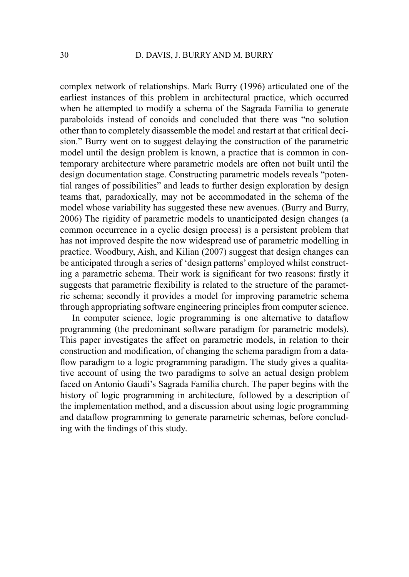complex network of relationships. Mark Burry (1996) articulated one of the earliest instances of this problem in architectural practice, which occurred when he attempted to modify a schema of the Sagrada Família to generate paraboloids instead of conoids and concluded that there was "no solution other than to completely disassemble the model and restart at that critical decision." Burry went on to suggest delaying the construction of the parametric model until the design problem is known, a practice that is common in contemporary architecture where parametric models are often not built until the design documentation stage. Constructing parametric models reveals "potential ranges of possibilities" and leads to further design exploration by design teams that, paradoxically, may not be accommodated in the schema of the model whose variability has suggested these new avenues. (Burry and Burry, 2006) The rigidity of parametric models to unanticipated design changes (a common occurrence in a cyclic design process) is a persistent problem that has not improved despite the now widespread use of parametric modelling in practice. Woodbury, Aish, and Kilian (2007) suggest that design changes can be anticipated through a series of 'design patterns' employed whilst constructing a parametric schema. Their work is significant for two reasons: firstly it suggests that parametric flexibility is related to the structure of the parametric schema; secondly it provides a model for improving parametric schema through appropriating software engineering principles from computer science.

In computer science, logic programming is one alternative to dataflow programming (the predominant software paradigm for parametric models). This paper investigates the affect on parametric models, in relation to their construction and modification, of changing the schema paradigm from a dataflow paradigm to a logic programming paradigm. The study gives a qualitative account of using the two paradigms to solve an actual design problem faced on Antonio Gaudí's Sagrada Família church. The paper begins with the history of logic programming in architecture, followed by a description of the implementation method, and a discussion about using logic programming and dataflow programming to generate parametric schemas, before concluding with the findings of this study.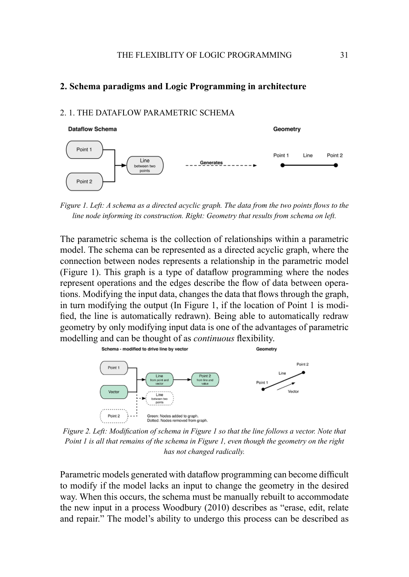### **2. Schema paradigms and Logic Programming in architecture**

### 2. 1. The Dataflow Parametric Schema



*Figure 1. Left: A schema as a directed acyclic graph. The data from the two points flows to the line node informing its construction. Right: Geometry that results from schema on left.*

The parametric schema is the collection of relationships within a parametric model. The schema can be represented as a directed acyclic graph, where the connection between nodes represents a relationship in the parametric model (Figure 1). This graph is a type of dataflow programming where the nodes represent operations and the edges describe the flow of data between operations. Modifying the input data, changes the data that flows through the graph, in turn modifying the output (In Figure 1, if the location of Point 1 is modified, the line is automatically redrawn). Being able to automatically redraw geometry by only modifying input data is one of the advantages of parametric modelling and can be thought of as *continuous* flexibility.



*Figure 2. Left: Modification of schema in Figure 1 so that the line follows a vector. Note that Point 1 is all that remains of the schema in Figure 1, even though the geometry on the right has not changed radically.*

Parametric models generated with dataflow programming can become difficult to modify if the model lacks an input to change the geometry in the desired way. When this occurs, the schema must be manually rebuilt to accommodate the new input in a process Woodbury (2010) describes as "erase, edit, relate and repair." The model's ability to undergo this process can be described as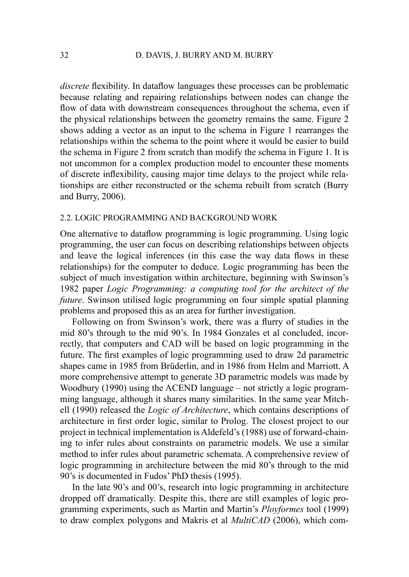*discrete* flexibility. In dataflow languages these processes can be problematic because relating and repairing relationships between nodes can change the flow of data with downstream consequences throughout the schema, even if the physical relationships between the geometry remains the same. Figure 2 shows adding a vector as an input to the schema in Figure 1 rearranges the relationships within the schema to the point where it would be easier to build the schema in Figure 2 from scratch than modify the schema in Figure 1. It is not uncommon for a complex production model to encounter these moments of discrete inflexibility, causing major time delays to the project while relationships are either reconstructed or the schema rebuilt from scratch (Burry and Burry, 2006).

### 2.2. Logic programming and background work

One alternative to dataflow programming is logic programming. Using logic programming, the user can focus on describing relationships between objects and leave the logical inferences (in this case the way data flows in these relationships) for the computer to deduce. Logic programming has been the subject of much investigation within architecture, beginning with Swinson's 1982 paper *Logic Programming: a computing tool for the architect of the future*. Swinson utilised logic programming on four simple spatial planning problems and proposed this as an area for further investigation.

Following on from Swinson's work, there was a flurry of studies in the mid 80's through to the mid 90's. In 1984 Gonzales et al concluded, incorrectly, that computers and CAD will be based on logic programming in the future. The first examples of logic programming used to draw 2d parametric shapes came in 1985 from Brüderlin, and in 1986 from Helm and Marriott. A more comprehensive attempt to generate 3D parametric models was made by Woodbury (1990) using the ACEND language – not strictly a logic programming language, although it shares many similarities. In the same year Mitchell (1990) released the *Logic of Architecture*, which contains descriptions of architecture in first order logic, similar to Prolog. The closest project to our project in technical implementation is Aldefeld's (1988) use of forward-chaining to infer rules about constraints on parametric models. We use a similar method to infer rules about parametric schemata. A comprehensive review of logic programming in architecture between the mid 80's through to the mid 90's is documented in Fudos' PhD thesis (1995).

In the late 90's and 00's, research into logic programming in architecture dropped off dramatically. Despite this, there are still examples of logic programming experiments, such as Martin and Martin's *Ployformes* tool (1999) to draw complex polygons and Makris et al *MultiCAD* (2006), which com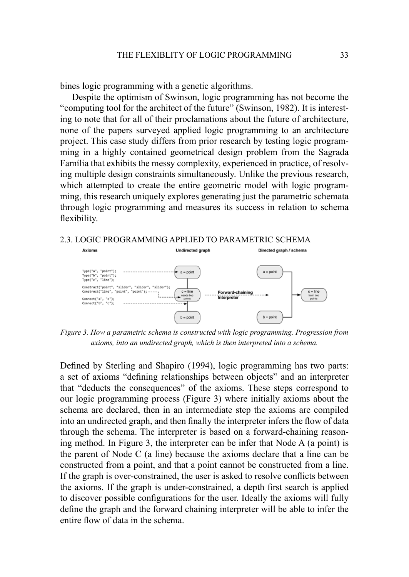bines logic programming with a genetic algorithms.

Despite the optimism of Swinson, logic programming has not become the "computing tool for the architect of the future" (Swinson, 1982). It is interesting to note that for all of their proclamations about the future of architecture, none of the papers surveyed applied logic programming to an architecture project. This case study differs from prior research by testing logic programming in a highly contained geometrical design problem from the Sagrada Família that exhibits the messy complexity, experienced in practice, of resolving multiple design constraints simultaneously. Unlike the previous research, which attempted to create the entire geometric model with logic programming, this research uniquely explores generating just the parametric schemata through logic programming and measures its success in relation to schema flexibility.

#### 2.3. Logic Programming Applied To Parametric Schema



*Figure 3. How a parametric schema is constructed with logic programming. Progression from axioms, into an undirected graph, which is then interpreted into a schema.* 

Defined by Sterling and Shapiro (1994), logic programming has two parts: a set of axioms "defining relationships between objects" and an interpreter that "deducts the consequences" of the axioms. These steps correspond to our logic programming process (Figure 3) where initially axioms about the schema are declared, then in an intermediate step the axioms are compiled into an undirected graph, and then finally the interpreter infers the flow of data through the schema. The interpreter is based on a forward-chaining reasoning method. In Figure 3, the interpreter can be infer that Node A (a point) is the parent of Node C (a line) because the axioms declare that a line can be constructed from a point, and that a point cannot be constructed from a line. If the graph is over-constrained, the user is asked to resolve conflicts between the axioms. If the graph is under-constrained, a depth first search is applied to discover possible configurations for the user. Ideally the axioms will fully define the graph and the forward chaining interpreter will be able to infer the entire flow of data in the schema.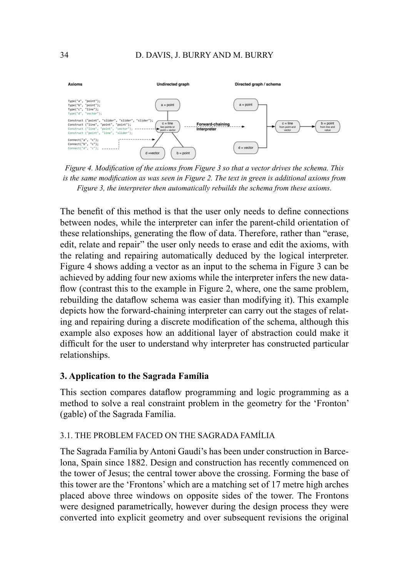

*Figure 4. Modification of the axioms from Figure 3 so that a vector drives the schema. This is the same modification as was seen in Figure 2. The text in green is additional axioms from Figure 3, the interpreter then automatically rebuilds the schema from these axioms.* 

The benefit of this method is that the user only needs to define connections between nodes, while the interpreter can infer the parent-child orientation of these relationships, generating the flow of data. Therefore, rather than "erase, edit, relate and repair" the user only needs to erase and edit the axioms, with the relating and repairing automatically deduced by the logical interpreter. Figure 4 shows adding a vector as an input to the schema in Figure 3 can be achieved by adding four new axioms while the interpreter infers the new dataflow (contrast this to the example in Figure 2, where, one the same problem, rebuilding the dataflow schema was easier than modifying it). This example depicts how the forward-chaining interpreter can carry out the stages of relating and repairing during a discrete modification of the schema, although this example also exposes how an additional layer of abstraction could make it difficult for the user to understand why interpreter has constructed particular relationships.

### **3. Application to the Sagrada Família**

This section compares dataflow programming and logic programming as a method to solve a real constraint problem in the geometry for the 'Fronton' (gable) of the Sagrada Família.

### 3.1. The Problem faced on the Sagrada Família

The Sagrada Família by Antoni Gaudí's has been under construction in Barcelona, Spain since 1882. Design and construction has recently commenced on the tower of Jesus; the central tower above the crossing. Forming the base of this tower are the 'Frontons' which are a matching set of 17 metre high arches placed above three windows on opposite sides of the tower. The Frontons were designed parametrically, however during the design process they were converted into explicit geometry and over subsequent revisions the original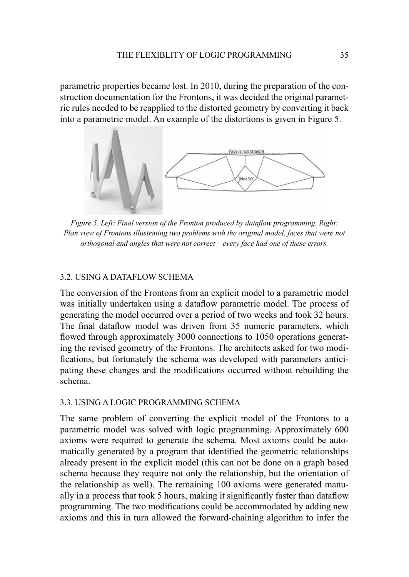parametric properties became lost. In 2010, during the preparation of the construction documentation for the Frontons, it was decided the original parametric rules needed to be reapplied to the distorted geometry by converting it back into a parametric model. An example of the distortions is given in Figure 5.



*Figure 5. Left: Final version of the Fronton produced by dataflow programming. Right: Plan view of Frontons illustrating two problems with the original model, faces that were not orthogonal and angles that were not correct – every face had one of these errors.*

### 3.2. Using a Dataflow Schema

The conversion of the Frontons from an explicit model to a parametric model was initially undertaken using a dataflow parametric model. The process of generating the model occurred over a period of two weeks and took 32 hours. The final dataflow model was driven from 35 numeric parameters, which flowed through approximately 3000 connections to 1050 operations generating the revised geometry of the Frontons. The architects asked for two modifications, but fortunately the schema was developed with parameters anticipating these changes and the modifications occurred without rebuilding the schema.

### 3.3. Using a Logic Programming Schema

The same problem of converting the explicit model of the Frontons to a parametric model was solved with logic programming. Approximately 600 axioms were required to generate the schema. Most axioms could be automatically generated by a program that identified the geometric relationships already present in the explicit model (this can not be done on a graph based schema because they require not only the relationship, but the orientation of the relationship as well). The remaining 100 axioms were generated manually in a process that took 5 hours, making it significantly faster than dataflow programming. The two modifications could be accommodated by adding new axioms and this in turn allowed the forward-chaining algorithm to infer the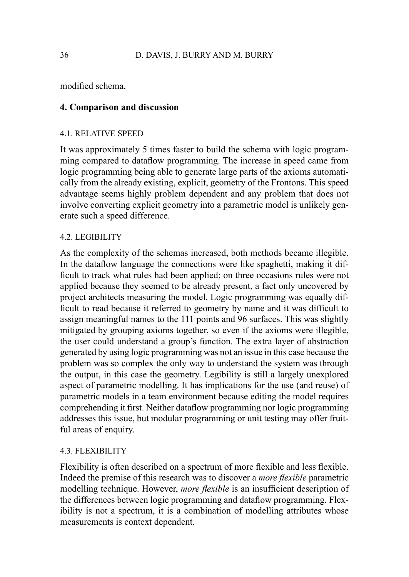modified schema.

# **4. Comparison and discussion**

## 4.1. Relative speed

It was approximately 5 times faster to build the schema with logic programming compared to dataflow programming. The increase in speed came from logic programming being able to generate large parts of the axioms automatically from the already existing, explicit, geometry of the Frontons. This speed advantage seems highly problem dependent and any problem that does not involve converting explicit geometry into a parametric model is unlikely generate such a speed difference.

# 4.2. Legibility

As the complexity of the schemas increased, both methods became illegible. In the dataflow language the connections were like spaghetti, making it difficult to track what rules had been applied; on three occasions rules were not applied because they seemed to be already present, a fact only uncovered by project architects measuring the model. Logic programming was equally difficult to read because it referred to geometry by name and it was difficult to assign meaningful names to the 111 points and 96 surfaces. This was slightly mitigated by grouping axioms together, so even if the axioms were illegible, the user could understand a group's function. The extra layer of abstraction generated by using logic programming was not an issue in this case because the problem was so complex the only way to understand the system was through the output, in this case the geometry. Legibility is still a largely unexplored aspect of parametric modelling. It has implications for the use (and reuse) of parametric models in a team environment because editing the model requires comprehending it first. Neither dataflow programming nor logic programming addresses this issue, but modular programming or unit testing may offer fruitful areas of enquiry.

# 4.3. Flexibility

Flexibility is often described on a spectrum of more flexible and less flexible. Indeed the premise of this research was to discover a *more flexible* parametric modelling technique. However, *more flexible* is an insufficient description of the differences between logic programming and dataflow programming. Flexibility is not a spectrum, it is a combination of modelling attributes whose measurements is context dependent.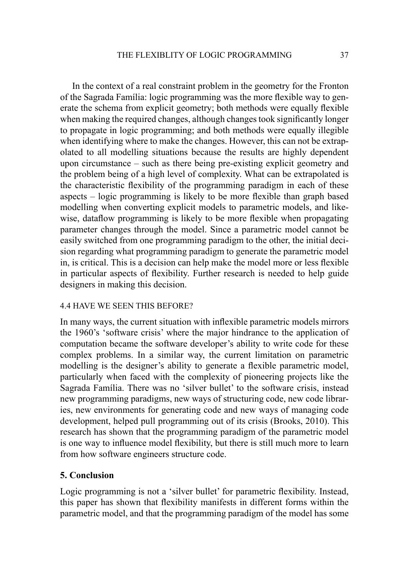In the context of a real constraint problem in the geometry for the Fronton of the Sagrada Família: logic programming was the more flexible way to generate the schema from explicit geometry; both methods were equally flexible when making the required changes, although changes took significantly longer to propagate in logic programming; and both methods were equally illegible when identifying where to make the changes. However, this can not be extrapolated to all modelling situations because the results are highly dependent upon circumstance – such as there being pre-existing explicit geometry and the problem being of a high level of complexity. What can be extrapolated is the characteristic flexibility of the programming paradigm in each of these aspects – logic programming is likely to be more flexible than graph based modelling when converting explicit models to parametric models, and likewise, dataflow programming is likely to be more flexible when propagating parameter changes through the model. Since a parametric model cannot be easily switched from one programming paradigm to the other, the initial decision regarding what programming paradigm to generate the parametric model in, is critical. This is a decision can help make the model more or less flexible in particular aspects of flexibility. Further research is needed to help guide designers in making this decision.

### 4.4 Have we seen this before?

In many ways, the current situation with inflexible parametric models mirrors the 1960's 'software crisis' where the major hindrance to the application of computation became the software developer's ability to write code for these complex problems. In a similar way, the current limitation on parametric modelling is the designer's ability to generate a flexible parametric model, particularly when faced with the complexity of pioneering projects like the Sagrada Família. There was no 'silver bullet' to the software crisis, instead new programming paradigms, new ways of structuring code, new code libraries, new environments for generating code and new ways of managing code development, helped pull programming out of its crisis (Brooks, 2010). This research has shown that the programming paradigm of the parametric model is one way to influence model flexibility, but there is still much more to learn from how software engineers structure code.

## **5. Conclusion**

Logic programming is not a 'silver bullet' for parametric flexibility. Instead, this paper has shown that flexibility manifests in different forms within the parametric model, and that the programming paradigm of the model has some